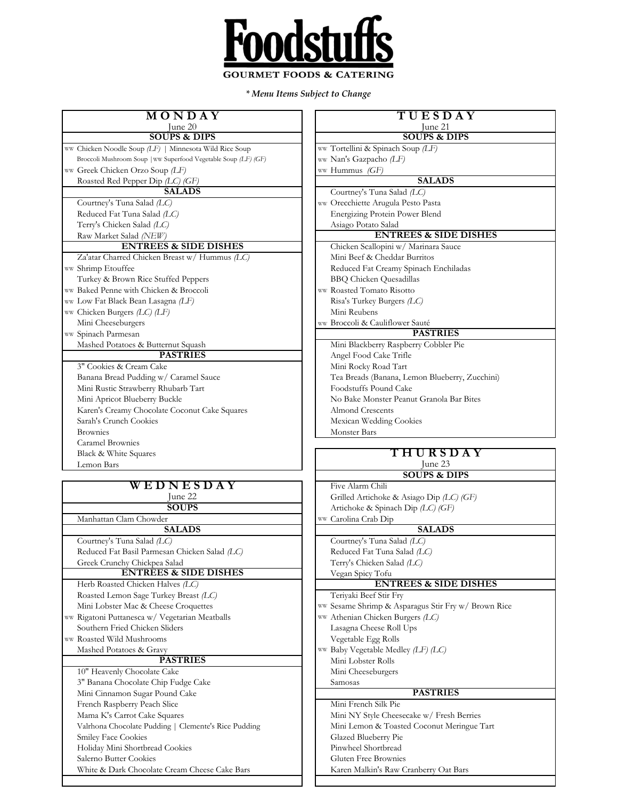

*\* Menu Items Subject to Change*

| MONDAY                                                                           | TUESDAY                                                              |
|----------------------------------------------------------------------------------|----------------------------------------------------------------------|
| June 20                                                                          | June 21                                                              |
| <b>SOUPS &amp; DIPS</b>                                                          | <b>SOUPS &amp; DIPS</b>                                              |
| ww Chicken Noodle Soup (LF)   Minnesota Wild Rice Soup                           | ww Tortellini & Spinach Soup (LF)                                    |
| Broccoli Mushroom Soup   ww Superfood Vegetable Soup (LF) (GF)                   | ww Nan's Gazpacho (LF)                                               |
| ww Greek Chicken Orzo Soup (LF)                                                  | ww Hummus (GF)                                                       |
| Roasted Red Pepper Dip (LC) (GF)                                                 | <b>SALADS</b>                                                        |
| <b>SALADS</b>                                                                    | Courtney's Tuna Salad (LC)                                           |
| Courtney's Tuna Salad (LC)                                                       | ww Orecchiette Arugula Pesto Pasta                                   |
| Reduced Fat Tuna Salad (LC)                                                      | Energizing Protein Power Blend                                       |
| Terry's Chicken Salad (LC)                                                       | Asiago Potato Salad<br><b>ENTREES &amp; SIDE DISHES</b>              |
| Raw Market Salad (NEW)<br><b>ENTREES &amp; SIDE DISHES</b>                       |                                                                      |
| Za'atar Charred Chicken Breast w/ Hummus (LC)                                    | Chicken Scallopini w/ Marinara Sauce<br>Mini Beef & Cheddar Burritos |
| ww Shrimp Etouffee                                                               | Reduced Fat Creamy Spinach Enchiladas                                |
| Turkey & Brown Rice Stuffed Peppers                                              | <b>BBQ</b> Chicken Quesadillas                                       |
| ww Baked Penne with Chicken & Broccoli                                           | ww Roasted Tomato Risotto                                            |
| ww Low Fat Black Bean Lasagna (LF)                                               | Risa's Turkey Burgers (LC)                                           |
| ww Chicken Burgers (LC) (LF)                                                     | Mini Reubens                                                         |
| Mini Cheeseburgers                                                               | ww Broccoli & Cauliflower Sauté                                      |
| ww Spinach Parmesan                                                              | <b>PASTRIES</b>                                                      |
| Mashed Potatoes & Butternut Squash                                               | Mini Blackberry Raspberry Cobbler Pie                                |
| <b>PASTRIES</b>                                                                  | Angel Food Cake Trifle                                               |
| 3" Cookies & Cream Cake                                                          | Mini Rocky Road Tart                                                 |
| Banana Bread Pudding w/ Caramel Sauce                                            | Tea Breads (Banana, Lemon Blueberry, Zucchini)                       |
| Mini Rustic Strawberry Rhubarb Tart                                              | Foodstuffs Pound Cake                                                |
| Mini Apricot Blueberry Buckle                                                    | No Bake Monster Peanut Granola Bar Bites                             |
| Karen's Creamy Chocolate Coconut Cake Squares                                    | <b>Almond Crescents</b>                                              |
| Sarah's Crunch Cookies                                                           | Mexican Wedding Cookies                                              |
| <b>Brownies</b>                                                                  | Monster Bars                                                         |
| Caramel Brownies                                                                 |                                                                      |
|                                                                                  |                                                                      |
| Black & White Squares                                                            | <b>THURSDAY</b>                                                      |
| Lemon Bars                                                                       | June 23                                                              |
|                                                                                  | <b>SOUPS &amp; DIPS</b>                                              |
| WEDNESDAY                                                                        | Five Alarm Chili                                                     |
| June 22                                                                          | Grilled Artichoke & Asiago Dip (LC) (GF)                             |
| <b>SOUPS</b>                                                                     | Artichoke & Spinach Dip (LC) (GF)                                    |
| Manhattan Clam Chowder                                                           | ww Carolina Crab Dip                                                 |
| <b>SALADS</b>                                                                    | <b>SALADS</b>                                                        |
| Courtney's Tuna Salad (LC)                                                       | Courtney's Tuna Salad (LC)                                           |
| Reduced Fat Basil Parmesan Chicken Salad (LC)                                    | Reduced Fat Tuna Salad (LC)                                          |
| Greek Crunchy Chickpea Salad                                                     | Terry's Chicken Salad (LC)                                           |
| <b>ENTREES &amp; SIDE DISHES</b>                                                 | Vegan Spicy Tofu                                                     |
| Herb Roasted Chicken Halves (LC)                                                 | <b>ENTREES &amp; SIDE DISHES</b>                                     |
| Roasted Lemon Sage Turkey Breast (LC)                                            | Teriyaki Beef Stir Fry                                               |
| Mini Lobster Mac & Cheese Croquettes                                             | ww Sesame Shrimp & Asparagus Stir Fry w/ Brown Rice                  |
| ww Rigatoni Puttanesca w/ Vegetarian Meatballs<br>Southern Fried Chicken Sliders | ww Athenian Chicken Burgers (LC)                                     |
| ww Roasted Wild Mushrooms                                                        | Lasagna Cheese Roll Ups<br>Vegetable Egg Rolls                       |
| Mashed Potatoes & Gravy                                                          |                                                                      |
| <b>PASTRIES</b>                                                                  | ww Baby Vegetable Medley (LF) (LC)<br>Mini Lobster Rolls             |
| 10" Heavenly Chocolate Cake                                                      | Mini Cheeseburgers                                                   |
| 3" Banana Chocolate Chip Fudge Cake                                              | Samosas                                                              |
| Mini Cinnamon Sugar Pound Cake                                                   | <b>PASTRIES</b>                                                      |
| French Raspberry Peach Slice                                                     | Mini French Silk Pie                                                 |
| Mama K's Carrot Cake Squares                                                     | Mini NY Style Cheesecake w/ Fresh Berries                            |
| Valrhona Chocolate Pudding   Clemente's Rice Pudding                             | Mini Lemon & Toasted Coconut Meringue Tart                           |
| <b>Smiley Face Cookies</b>                                                       | Glazed Blueberry Pie                                                 |
| Holiday Mini Shortbread Cookies                                                  | Pinwheel Shortbread                                                  |
| Salerno Butter Cookies                                                           | Gluten Free Brownies                                                 |